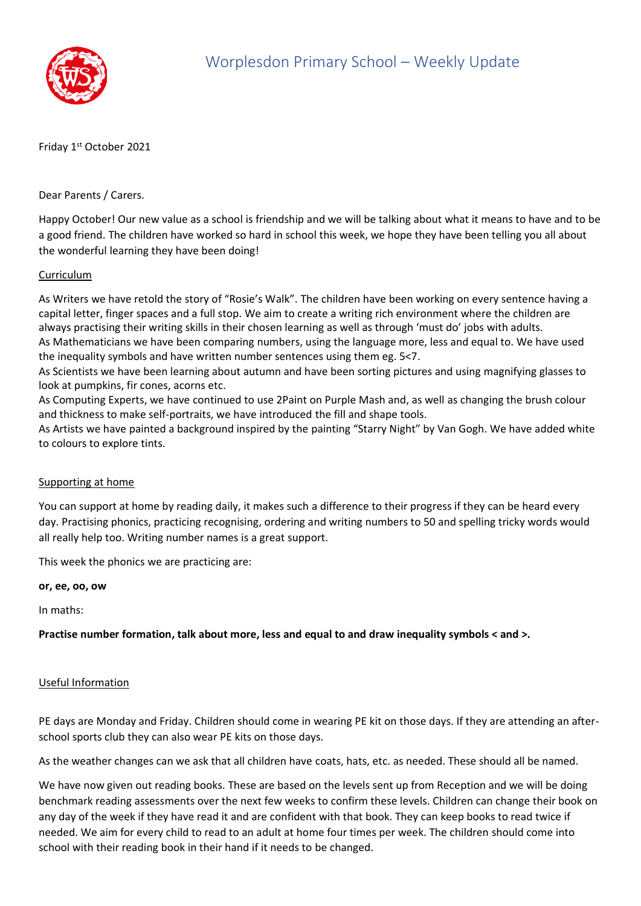

Friday 1st October 2021

Dear Parents / Carers.

Happy October! Our new value as a school is friendship and we will be talking about what it means to have and to be a good friend. The children have worked so hard in school this week, we hope they have been telling you all about the wonderful learning they have been doing!

## Curriculum

As Writers we have retold the story of "Rosie's Walk". The children have been working on every sentence having a capital letter, finger spaces and a full stop. We aim to create a writing rich environment where the children are always practising their writing skills in their chosen learning as well as through 'must do' jobs with adults. As Mathematicians we have been comparing numbers, using the language more, less and equal to. We have used the inequality symbols and have written number sentences using them eg. 5<7.

As Scientists we have been learning about autumn and have been sorting pictures and using magnifying glasses to look at pumpkins, fir cones, acorns etc.

As Computing Experts, we have continued to use 2Paint on Purple Mash and, as well as changing the brush colour and thickness to make self-portraits, we have introduced the fill and shape tools.

As Artists we have painted a background inspired by the painting "Starry Night" by Van Gogh. We have added white to colours to explore tints.

## Supporting at home

You can support at home by reading daily, it makes such a difference to their progress if they can be heard every day. Practising phonics, practicing recognising, ordering and writing numbers to 50 and spelling tricky words would all really help too. Writing number names is a great support.

This week the phonics we are practicing are:

**or, ee, oo, ow**

In maths:

**Practise number formation, talk about more, less and equal to and draw inequality symbols < and >.**

## Useful Information

PE days are Monday and Friday. Children should come in wearing PE kit on those days. If they are attending an afterschool sports club they can also wear PE kits on those days.

As the weather changes can we ask that all children have coats, hats, etc. as needed. These should all be named.

We have now given out reading books. These are based on the levels sent up from Reception and we will be doing benchmark reading assessments over the next few weeks to confirm these levels. Children can change their book on any day of the week if they have read it and are confident with that book. They can keep books to read twice if needed. We aim for every child to read to an adult at home four times per week. The children should come into school with their reading book in their hand if it needs to be changed.